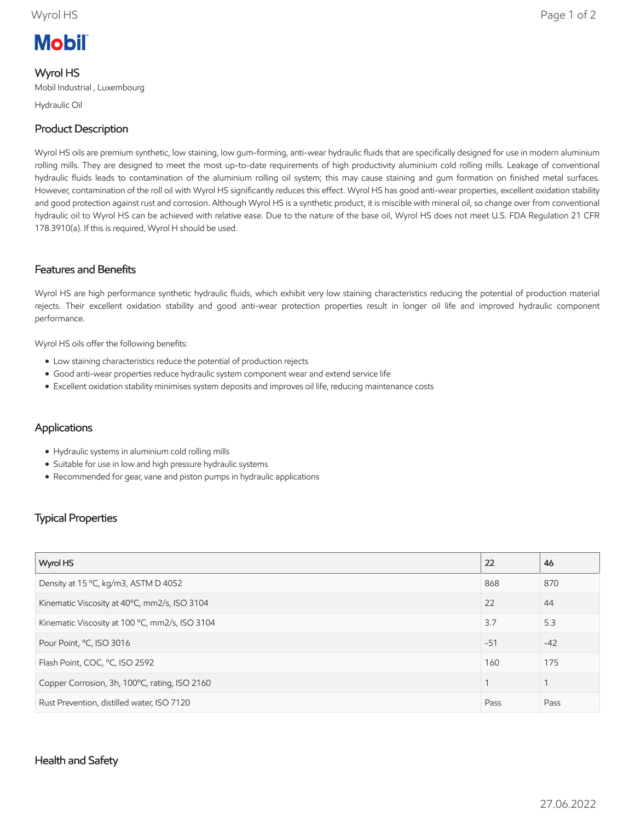# **Mobil**

### Wyrol HS

Mobil Industrial , Luxembourg

Hydraulic Oil

## Product Description

Wyrol HS oils are premium synthetic, low staining, low gum-forming, anti-wear hydraulic fluids that are specifically designed for use in modern aluminium rolling mills. They are designed to meet the most up-to-date requirements of high productivity aluminium cold rolling mills. Leakage of conventional hydraulic fluids leads to contamination of the aluminium rolling oil system; this may cause staining and gum formation on finished metal surfaces. However, contamination of the roll oil with Wyrol HS significantly reduces this effect. Wyrol HS has good anti-wear properties, excellent oxidation stability and good protection against rust and corrosion. Although Wyrol HS is a synthetic product, it is miscible with mineral oil, so change over from conventional hydraulic oil to Wyrol HS can be achieved with relative ease. Due to the nature of the base oil, Wyrol HS does not meet U.S. FDA Regulation 21 CFR 178.3910(a). If this is required, Wyrol H should be used.

#### Features and Benefits

Wyrol HS are high performance synthetic hydraulic fluids, which exhibit very low staining characteristics reducing the potential of production material rejects. Their excellent oxidation stability and good anti-wear protection properties result in longer oil life and improved hydraulic component performance.

Wyrol HS oils offer the following benefits:

- Low staining characteristics reduce the potential of production rejects
- Good anti-wear properties reduce hydraulic system component wear and extend service life
- Excellent oxidation stability minimises system deposits and improves oil life, reducing maintenance costs

#### Applications

- Hydraulic systems in aluminium cold rolling mills
- Suitable for use in low and high pressure hydraulic systems
- Recommended for gear, vane and piston pumps in hydraulic applications

#### Typical Properties

| Wyrol HS                                       | 22    | 46    |
|------------------------------------------------|-------|-------|
| Density at 15 °C, kg/m3, ASTM D 4052           | 868   | 870   |
| Kinematic Viscosity at 40°C, mm2/s, ISO 3104   | 22    | 44    |
| Kinematic Viscosity at 100 °C, mm2/s, ISO 3104 | 3.7   | 5.3   |
| Pour Point, °C, ISO 3016                       | $-51$ | $-42$ |
| Flash Point, COC, °C, ISO 2592                 | 160   | 175   |
| Copper Corrosion, 3h, 100°C, rating, ISO 2160  |       | 1     |
| Rust Prevention, distilled water, ISO 7120     | Pass  | Pass  |